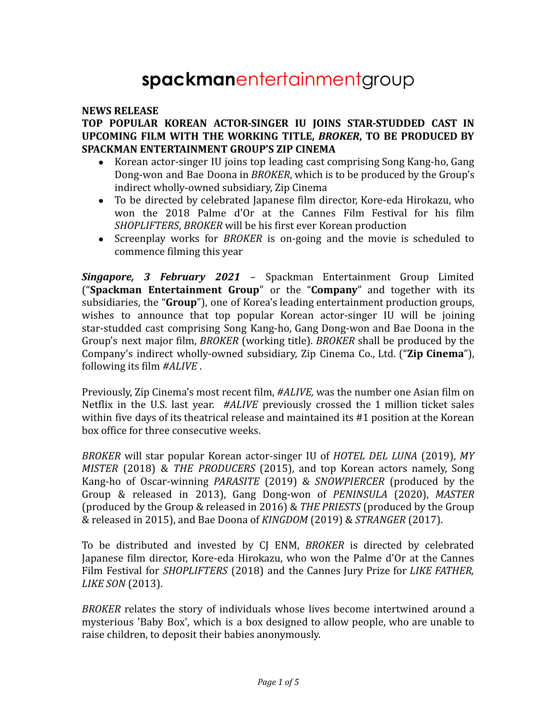# **spackman**entertainmentgroup

#### **NEWS RELEASE**

## **TOP POPULAR KOREAN ACTOR-SINGER IU JOINS STAR-STUDDED CAST IN UPCOMING FILM WITH THE WORKING TITLE,** *BROKER***, TO BE PRODUCED BY SPACKMAN ENTERTAINMENT GROUP'S ZIP CINEMA**

- Korean actor-singer IU joins top leading cast comprising Song Kang-ho, Gang Dong-won and Bae Doona in *BROKER*, which is to be produced by the Group's indirect wholly-owned subsidiary, Zip Cinema
- To be directed by celebrated Japanese film director, Kore-eda Hirokazu, who won the 2018 Palme d'Or at the Cannes Film Festival for his film *SHOPLIFTERS*, *BROKER* will be his first ever Korean production
- Screenplay works for *BROKER* is on-going and the movie is scheduled to commence filming this year

*Singapore, 3 February 2021* – Spackman Entertainment Group Limited ("**Spackman Entertainment Group**" or the "**Company**" and together with its subsidiaries, the "**Group**"), one of Korea's leading entertainment production groups, wishes to announce that top popular Korean actor-singer IU will be joining star-studded cast comprising Song Kang-ho, Gang Dong-won and Bae Doona in the Group's next major film, *BROKER* (working title). *BROKER* shall be produced by the Company's indirect wholly-owned subsidiary, Zip Cinema Co., Ltd. ("**Zip Cinema**"), following its film *#ALIVE* .

Previously, Zip Cinema's most recent film, *#ALIVE,* was the number one Asian film on Netflix in the U.S. last year. *#ALIVE* previously crossed the 1 million ticket sales within five days of its theatrical release and maintained its #1 position at the Korean box office for three consecutive weeks.

*BROKER* will star popular Korean actor-singer IU of *HOTEL DEL LUNA* (2019), *MY MISTER* (2018) & *THE PRODUCERS* (2015), and top Korean actors namely, Song Kang-ho of Oscar-winning *PARASITE* (2019) & *SNOWPIERCER* (produced by the Group & released in 2013), Gang Dong-won of *PENINSULA* (2020), *MASTER* (produced by the Group & released in 2016) & *THE PRIESTS* (produced by the Group & released in 2015), and Bae Doona of *KINGDOM* (2019) & *STRANGER* (2017).

To be distributed and invested by CJ ENM, *BROKER* is directed by celebrated Japanese film director, Kore-eda Hirokazu, who won the Palme d'Or at the Cannes Film Festival for *SHOPLIFTERS* (2018) and the Cannes Jury Prize for *LIKE FATHER, LIKE SON* (2013).

*BROKER* relates the story of individuals whose lives become intertwined around a mysterious 'Baby Box', which is a box designed to allow people, who are unable to raise children, to deposit their babies anonymously.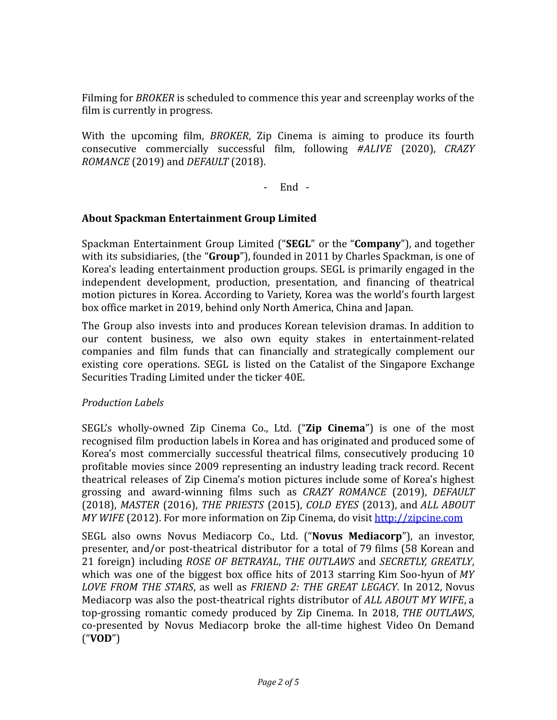Filming for *BROKER* is scheduled to commence this year and screenplay works of the film is currently in progress.

With the upcoming film, *BROKER*, Zip Cinema is aiming to produce its fourth consecutive commercially successful film, following *#ALIVE* (2020), *CRAZY ROMANCE* (2019) and *DEFAULT* (2018).

- End -

## **About Spackman Entertainment Group Limited**

Spackman Entertainment Group Limited ("**SEGL**" or the "**Company**"), and together with its subsidiaries, (the "**Group**"), founded in 2011 by Charles Spackman, is one of Korea's leading entertainment production groups. SEGL is primarily engaged in the independent development, production, presentation, and financing of theatrical motion pictures in Korea. According to Variety, Korea was the world's fourth largest box office market in 2019, behind only North America, China and Japan.

The Group also invests into and produces Korean television dramas. In addition to our content business, we also own equity stakes in entertainment-related companies and film funds that can financially and strategically complement our existing core operations. SEGL is listed on the Catalist of the Singapore Exchange Securities Trading Limited under the ticker 40E.

## *Production Labels*

SEGL's wholly-owned Zip Cinema Co., Ltd. ("**Zip Cinema**") is one of the most recognised film production labels in Korea and has originated and produced some of Korea's most commercially successful theatrical films, consecutively producing 10 profitable movies since 2009 representing an industry leading track record. Recent theatrical releases of Zip Cinema's motion pictures include some of Korea's highest grossing and award-winning films such as *CRAZY ROMANCE* (2019), *DEFAULT* (2018), *MASTER* (2016), *THE PRIESTS* (2015), *COLD EYES* (2013), and *ALL ABOUT MY WIFE* (2012). For more information on Zip Cinema, do visit <http://zipcine.com>

SEGL also owns Novus Mediacorp Co., Ltd. ("**Novus Mediacorp**"), an investor, presenter, and/or post-theatrical distributor for a total of 79 films (58 Korean and 21 foreign) including *ROSE OF BETRAYAL*, *THE OUTLAWS* and *SECRETLY, GREATLY*, which was one of the biggest box office hits of 2013 starring Kim Soo-hyun of *MY LOVE FROM THE STARS*, as well as *FRIEND 2: THE GREAT LEGACY*. In 2012, Novus Mediacorp was also the post-theatrical rights distributor of *ALL ABOUT MY WIFE*, a top-grossing romantic comedy produced by Zip Cinema. In 2018, *THE OUTLAWS*, co-presented by Novus Mediacorp broke the all-time highest Video On Demand ("**VOD**")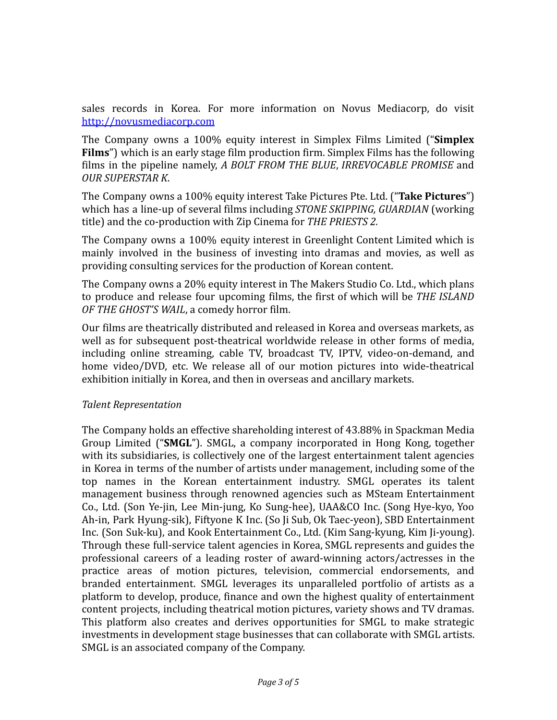sales records in Korea. For more information on Novus Mediacorp, do visit <http://novusmediacorp.com>

The Company owns a 100% equity interest in Simplex Films Limited ("**Simplex Films**") which is an early stage film production firm. Simplex Films has the following films in the pipeline namely, *A BOLT FROM THE BLUE*, *IRREVOCABLE PROMISE* and *OUR SUPERSTAR K*.

The Company owns a 100% equity interest Take Pictures Pte. Ltd. ("**Take Pictures**") which has a line-up of several films including *STONE SKIPPING, GUARDIAN* (working title) and the co-production with Zip Cinema for *THE PRIESTS 2.*

The Company owns a 100% equity interest in Greenlight Content Limited which is mainly involved in the business of investing into dramas and movies, as well as providing consulting services for the production of Korean content.

The Company owns a 20% equity interest in The Makers Studio Co. Ltd., which plans to produce and release four upcoming films, the first of which will be *THE ISLAND OF THE GHOST'S WAIL*, a comedy horror film.

Our films are theatrically distributed and released in Korea and overseas markets, as well as for subsequent post-theatrical worldwide release in other forms of media, including online streaming, cable TV, broadcast TV, IPTV, video-on-demand, and home video/DVD, etc. We release all of our motion pictures into wide-theatrical exhibition initially in Korea, and then in overseas and ancillary markets.

## *Talent Representation*

The Company holds an effective shareholding interest of 43.88% in Spackman Media Group Limited ("**SMGL**"). SMGL, a company incorporated in Hong Kong, together with its subsidiaries, is collectively one of the largest entertainment talent agencies in Korea in terms of the number of artists under management, including some of the top names in the Korean entertainment industry. SMGL operates its talent management business through renowned agencies such as MSteam Entertainment Co., Ltd. (Son Ye-jin, Lee Min-jung, Ko Sung-hee), UAA&CO Inc. (Song Hye-kyo, Yoo Ah-in, Park Hyung-sik), Fiftyone K Inc. (So Ji Sub, Ok Taec-yeon), SBD Entertainment Inc. (Son Suk-ku), and Kook Entertainment Co., Ltd. (Kim Sang-kyung, Kim Ji-young). Through these full-service talent agencies in Korea, SMGL represents and guides the professional careers of a leading roster of award-winning actors/actresses in the practice areas of motion pictures, television, commercial endorsements, and branded entertainment. SMGL leverages its unparalleled portfolio of artists as a platform to develop, produce, finance and own the highest quality of entertainment content projects, including theatrical motion pictures, variety shows and TV dramas. This platform also creates and derives opportunities for SMGL to make strategic investments in development stage businesses that can collaborate with SMGL artists. SMGL is an associated company of the Company.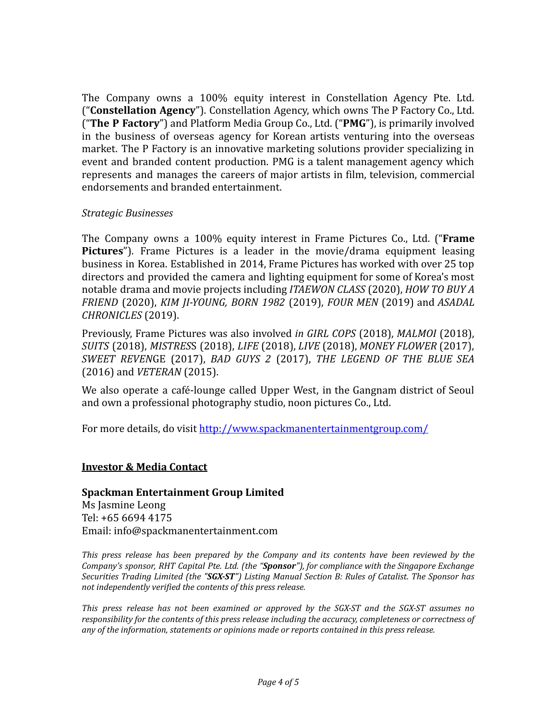The Company owns a 100% equity interest in Constellation Agency Pte. Ltd. ("**Constellation Agency**"). Constellation Agency, which owns The P Factory Co., Ltd. ("**The P Factory**") and Platform Media Group Co., Ltd. ("**PMG**"), is primarily involved in the business of overseas agency for Korean artists venturing into the overseas market. The P Factory is an innovative marketing solutions provider specializing in event and branded content production. PMG is a talent management agency which represents and manages the careers of major artists in film, television, commercial endorsements and branded entertainment.

#### *Strategic Businesses*

The Company owns a 100% equity interest in Frame Pictures Co., Ltd. ("**Frame Pictures**"). Frame Pictures is a leader in the movie/drama equipment leasing business in Korea. Established in 2014, Frame Pictures has worked with over 25 top directors and provided the camera and lighting equipment for some of Korea's most notable drama and movie projects including *ITAEWON CLASS* (2020), *HOW TO BUY A FRIEND* (2020), *KIM JI-YOUNG, BORN 1982* (2019), *FOUR MEN* (2019) and *ASADAL CHRONICLES* (2019).

Previously, Frame Pictures was also involved *in GIRL COPS* (2018), *MALMOI* (2018), *SUITS* (2018), *MISTRES*S (2018), *LIFE* (2018), *LIVE* (2018), *MONEY FLOWER* (2017), *SWEET REVEN*GE (2017), *BAD GUYS 2* (2017), *THE LEGEND OF THE BLUE SEA* (2016) and *VETERAN* (2015).

We also operate a café-lounge called Upper West, in the Gangnam district of Seoul and own a professional photography studio, noon pictures Co., Ltd.

For more details, do visit <http://www.spackmanentertainmentgroup.com/>

## **Investor & Media Contact**

#### **Spackman Entertainment Group Limited**

Ms Jasmine Leong Tel: +65 6694 4175 Email: info@spackmanentertainment.com

*This press release has been prepared by the Company and its contents have been reviewed by the Company's sponsor, RHT Capital Pte. Ltd. (the "Sponsor"), for compliance with the Singapore Exchange Securities Trading Limited (the "SGX-ST") Listing Manual Section B: Rules of Catalist. The Sponsor has not independently verified the contents of this press release.*

*This press release has not been examined or approved by the SGX-ST and the SGX-ST assumes no responsibility for the contents of this press release including the accuracy, completeness or correctness of any of the information, statements or opinions made or reports contained in this press release.*